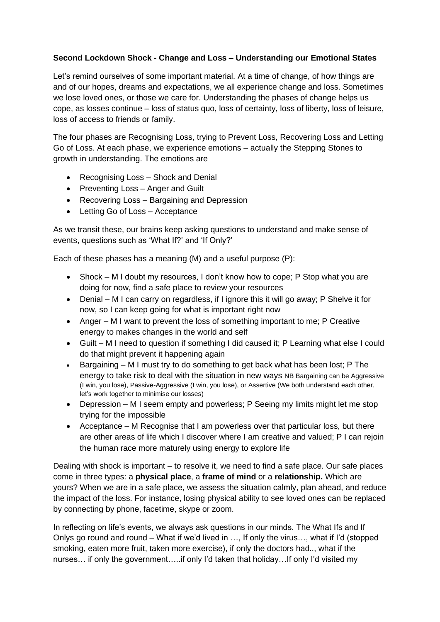## **Second Lockdown Shock - Change and Loss – Understanding our Emotional States**

Let's remind ourselves of some important material. At a time of change, of how things are and of our hopes, dreams and expectations, we all experience change and loss. Sometimes we lose loved ones, or those we care for. Understanding the phases of change helps us cope, as losses continue – loss of status quo, loss of certainty, loss of liberty, loss of leisure, loss of access to friends or family.

The four phases are Recognising Loss, trying to Prevent Loss, Recovering Loss and Letting Go of Loss. At each phase, we experience emotions – actually the Stepping Stones to growth in understanding. The emotions are

- Recognising Loss Shock and Denial
- Preventing Loss Anger and Guilt
- Recovering Loss Bargaining and Depression
- Letting Go of Loss Acceptance

As we transit these, our brains keep asking questions to understand and make sense of events, questions such as 'What If?' and 'If Only?'

Each of these phases has a meaning (M) and a useful purpose (P):

- Shock M I doubt my resources, I don't know how to cope; P Stop what you are doing for now, find a safe place to review your resources
- Denial M I can carry on regardless, if I ignore this it will go away; P Shelve it for now, so I can keep going for what is important right now
- Anger M I want to prevent the loss of something important to me; P Creative energy to makes changes in the world and self
- Guilt M I need to question if something I did caused it; P Learning what else I could do that might prevent it happening again
- Bargaining M I must try to do something to get back what has been lost; P The energy to take risk to deal with the situation in new ways NB Bargaining can be Aggressive (I win, you lose), Passive-Aggressive (I win, you lose), or Assertive (We both understand each other, let's work together to minimise our losses)
- Depression M I seem empty and powerless; P Seeing my limits might let me stop trying for the impossible
- Acceptance M Recognise that I am powerless over that particular loss, but there are other areas of life which I discover where I am creative and valued; P I can rejoin the human race more maturely using energy to explore life

Dealing with shock is important – to resolve it, we need to find a safe place. Our safe places come in three types: a **physical place**, a **frame of mind** or a **relationship.** Which are yours? When we are in a safe place, we assess the situation calmly, plan ahead, and reduce the impact of the loss. For instance, losing physical ability to see loved ones can be replaced by connecting by phone, facetime, skype or zoom.

In reflecting on life's events, we always ask questions in our minds. The What Ifs and If Onlys go round and round – What if we'd lived in …, If only the virus…, what if I'd (stopped smoking, eaten more fruit, taken more exercise), if only the doctors had.., what if the nurses… if only the government…..if only I'd taken that holiday…If only I'd visited my